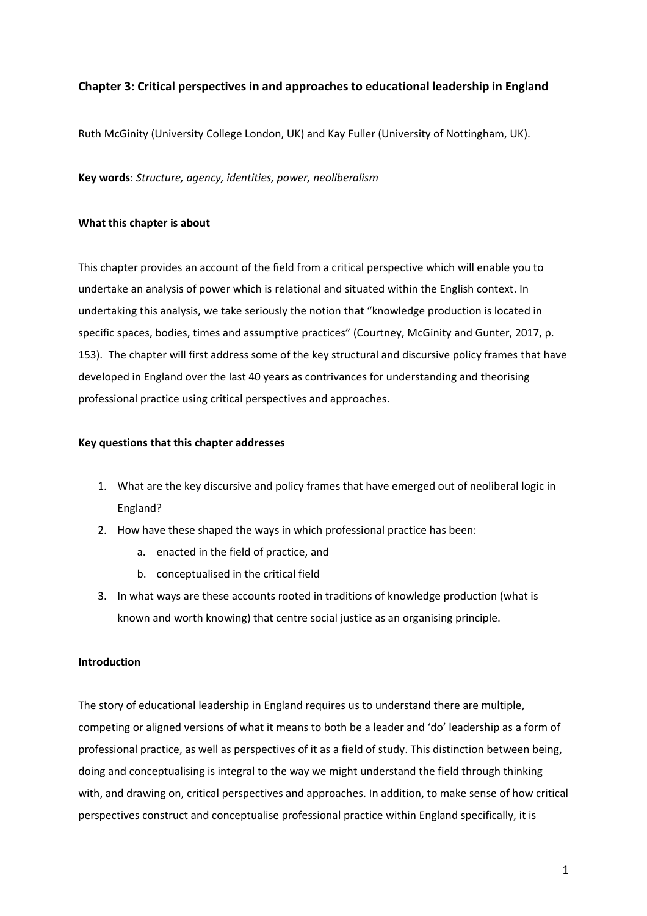## **Chapter 3: Critical perspectives in and approaches to educational leadership in England**

Ruth McGinity (University College London, UK) and Kay Fuller (University of Nottingham, UK).

**Key words**: *Structure, agency, identities, power, neoliberalism*

## **What this chapter is about**

This chapter provides an account of the field from a critical perspective which will enable you to undertake an analysis of power which is relational and situated within the English context. In undertaking this analysis, we take seriously the notion that "knowledge production is located in specific spaces, bodies, times and assumptive practices" (Courtney, McGinity and Gunter, 2017, p. 153). The chapter will first address some of the key structural and discursive policy frames that have developed in England over the last 40 years as contrivances for understanding and theorising professional practice using critical perspectives and approaches.

## **Key questions that this chapter addresses**

- 1. What are the key discursive and policy frames that have emerged out of neoliberal logic in England?
- 2. How have these shaped the ways in which professional practice has been:
	- a. enacted in the field of practice, and
	- b. conceptualised in the critical field
- 3. In what ways are these accounts rooted in traditions of knowledge production (what is known and worth knowing) that centre social justice as an organising principle.

## **Introduction**

The story of educational leadership in England requires us to understand there are multiple, competing or aligned versions of what it means to both be a leader and 'do' leadership as a form of professional practice, as well as perspectives of it as a field of study. This distinction between being, doing and conceptualising is integral to the way we might understand the field through thinking with, and drawing on, critical perspectives and approaches. In addition, to make sense of how critical perspectives construct and conceptualise professional practice within England specifically, it is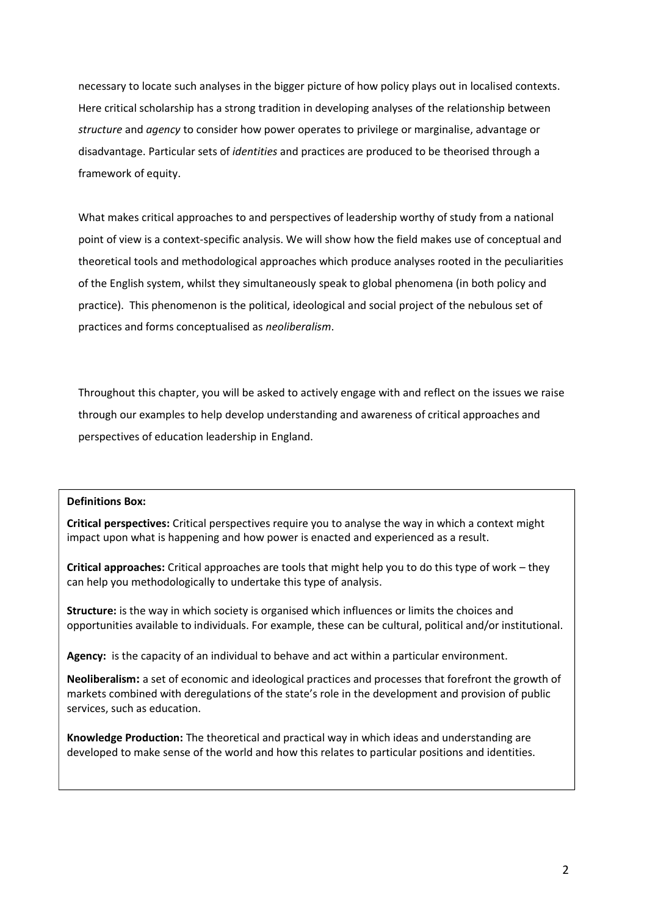necessary to locate such analyses in the bigger picture of how policy plays out in localised contexts. Here critical scholarship has a strong tradition in developing analyses of the relationship between *structure* and *agency* to consider how power operates to privilege or marginalise, advantage or disadvantage. Particular sets of *identities* and practices are produced to be theorised through a framework of equity.

What makes critical approaches to and perspectives of leadership worthy of study from a national point of view is a context-specific analysis. We will show how the field makes use of conceptual and theoretical tools and methodological approaches which produce analyses rooted in the peculiarities of the English system, whilst they simultaneously speak to global phenomena (in both policy and practice). This phenomenon is the political, ideological and social project of the nebulous set of practices and forms conceptualised as *neoliberalism*.

Throughout this chapter, you will be asked to actively engage with and reflect on the issues we raise through our examples to help develop understanding and awareness of critical approaches and perspectives of education leadership in England.

## **Definitions Box:**

**Critical perspectives:** Critical perspectives require you to analyse the way in which a context might impact upon what is happening and how power is enacted and experienced as a result.

**Critical approaches:** Critical approaches are tools that might help you to do this type of work – they can help you methodologically to undertake this type of analysis.

**Structure:** is the way in which society is organised which influences or limits the choices and opportunities available to individuals. For example, these can be cultural, political and/or institutional.

**Agency:** is the capacity of an individual to behave and act within a particular environment.

**Neoliberalism:** a set of economic and ideological practices and processes that forefront the growth of markets combined with deregulations of the state's role in the development and provision of public services, such as education.

**Knowledge Production:** The theoretical and practical way in which ideas and understanding are developed to make sense of the world and how this relates to particular positions and identities.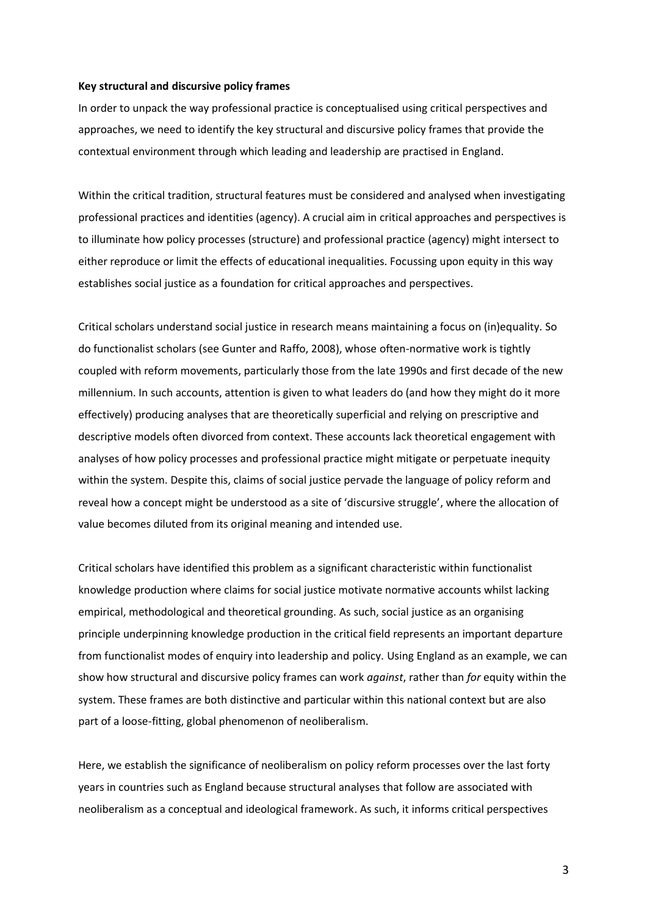#### **Key structural and discursive policy frames**

In order to unpack the way professional practice is conceptualised using critical perspectives and approaches, we need to identify the key structural and discursive policy frames that provide the contextual environment through which leading and leadership are practised in England.

Within the critical tradition, structural features must be considered and analysed when investigating professional practices and identities (agency). A crucial aim in critical approaches and perspectives is to illuminate how policy processes (structure) and professional practice (agency) might intersect to either reproduce or limit the effects of educational inequalities. Focussing upon equity in this way establishes social justice as a foundation for critical approaches and perspectives.

Critical scholars understand social justice in research means maintaining a focus on (in)equality. So do functionalist scholars (see Gunter and Raffo, 2008), whose often-normative work is tightly coupled with reform movements, particularly those from the late 1990s and first decade of the new millennium. In such accounts, attention is given to what leaders do (and how they might do it more effectively) producing analyses that are theoretically superficial and relying on prescriptive and descriptive models often divorced from context. These accounts lack theoretical engagement with analyses of how policy processes and professional practice might mitigate or perpetuate inequity within the system. Despite this, claims of social justice pervade the language of policy reform and reveal how a concept might be understood as a site of 'discursive struggle', where the allocation of value becomes diluted from its original meaning and intended use.

Critical scholars have identified this problem as a significant characteristic within functionalist knowledge production where claims for social justice motivate normative accounts whilst lacking empirical, methodological and theoretical grounding. As such, social justice as an organising principle underpinning knowledge production in the critical field represents an important departure from functionalist modes of enquiry into leadership and policy. Using England as an example, we can show how structural and discursive policy frames can work *against*, rather than *for* equity within the system. These frames are both distinctive and particular within this national context but are also part of a loose-fitting, global phenomenon of neoliberalism.

Here, we establish the significance of neoliberalism on policy reform processes over the last forty years in countries such as England because structural analyses that follow are associated with neoliberalism as a conceptual and ideological framework. As such, it informs critical perspectives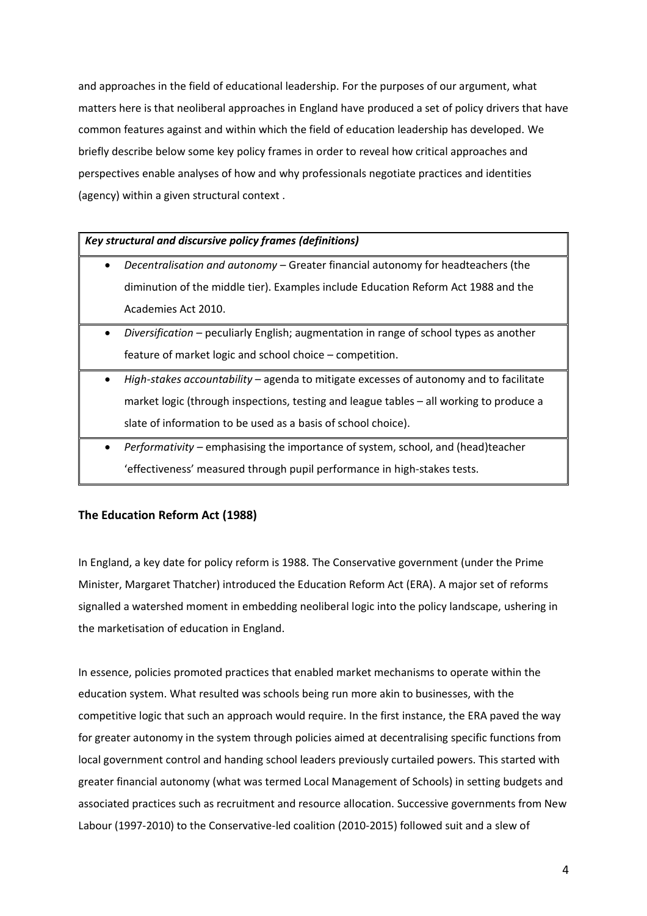and approaches in the field of educational leadership. For the purposes of our argument, what matters here is that neoliberal approaches in England have produced a set of policy drivers that have common features against and within which the field of education leadership has developed. We briefly describe below some key policy frames in order to reveal how critical approaches and perspectives enable analyses of how and why professionals negotiate practices and identities (agency) within a given structural context .

## *Key structural and discursive policy frames (definitions)*

- *Decentralisation and autonomy* Greater financial autonomy for headteachers (the diminution of the middle tier). Examples include Education Reform Act 1988 and the Academies Act 2010.
- *Diversification* peculiarly English; augmentation in range of school types as another feature of market logic and school choice – competition.
- *High-stakes accountability* agenda to mitigate excesses of autonomy and to facilitate market logic (through inspections, testing and league tables – all working to produce a slate of information to be used as a basis of school choice).
- *Performativity –* emphasising the importance of system, school, and (head)teacher 'effectiveness' measured through pupil performance in high-stakes tests.

## **The Education Reform Act (1988)**

In England, a key date for policy reform is 1988. The Conservative government (under the Prime Minister, Margaret Thatcher) introduced the Education Reform Act (ERA). A major set of reforms signalled a watershed moment in embedding neoliberal logic into the policy landscape, ushering in the marketisation of education in England.

In essence, policies promoted practices that enabled market mechanisms to operate within the education system. What resulted was schools being run more akin to businesses, with the competitive logic that such an approach would require. In the first instance, the ERA paved the way for greater autonomy in the system through policies aimed at decentralising specific functions from local government control and handing school leaders previously curtailed powers. This started with greater financial autonomy (what was termed Local Management of Schools) in setting budgets and associated practices such as recruitment and resource allocation. Successive governments from New Labour (1997-2010) to the Conservative-led coalition (2010-2015) followed suit and a slew of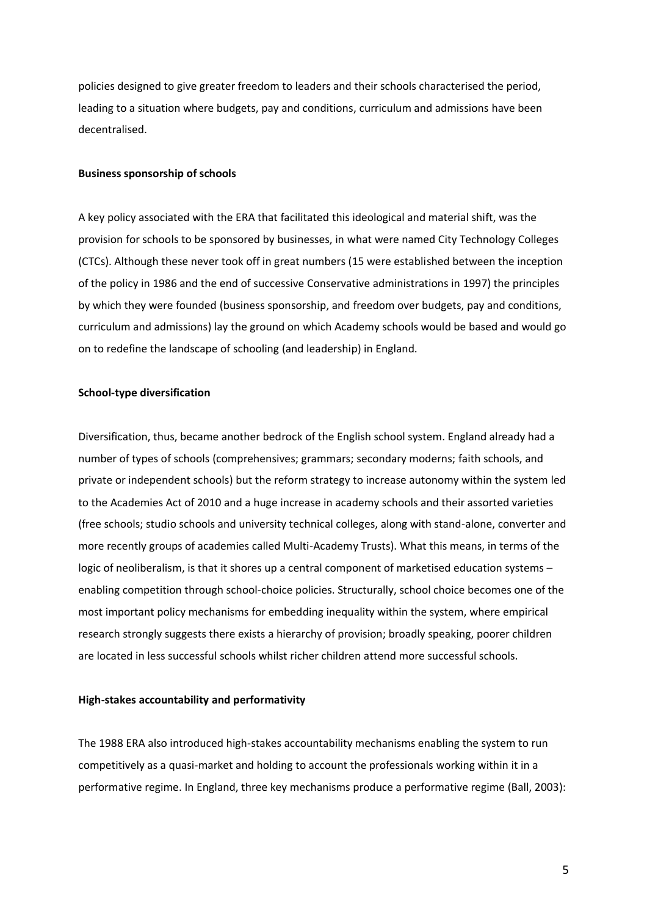policies designed to give greater freedom to leaders and their schools characterised the period, leading to a situation where budgets, pay and conditions, curriculum and admissions have been decentralised.

#### **Business sponsorship of schools**

A key policy associated with the ERA that facilitated this ideological and material shift, was the provision for schools to be sponsored by businesses, in what were named City Technology Colleges (CTCs). Although these never took off in great numbers (15 were established between the inception of the policy in 1986 and the end of successive Conservative administrations in 1997) the principles by which they were founded (business sponsorship, and freedom over budgets, pay and conditions, curriculum and admissions) lay the ground on which Academy schools would be based and would go on to redefine the landscape of schooling (and leadership) in England.

#### **School-type diversification**

Diversification, thus, became another bedrock of the English school system. England already had a number of types of schools (comprehensives; grammars; secondary moderns; faith schools, and private or independent schools) but the reform strategy to increase autonomy within the system led to the Academies Act of 2010 and a huge increase in academy schools and their assorted varieties (free schools; studio schools and university technical colleges, along with stand-alone, converter and more recently groups of academies called Multi-Academy Trusts). What this means, in terms of the logic of neoliberalism, is that it shores up a central component of marketised education systems – enabling competition through school-choice policies. Structurally, school choice becomes one of the most important policy mechanisms for embedding inequality within the system, where empirical research strongly suggests there exists a hierarchy of provision; broadly speaking, poorer children are located in less successful schools whilst richer children attend more successful schools.

#### **High-stakes accountability and performativity**

The 1988 ERA also introduced high-stakes accountability mechanisms enabling the system to run competitively as a quasi-market and holding to account the professionals working within it in a performative regime. In England, three key mechanisms produce a performative regime (Ball, 2003):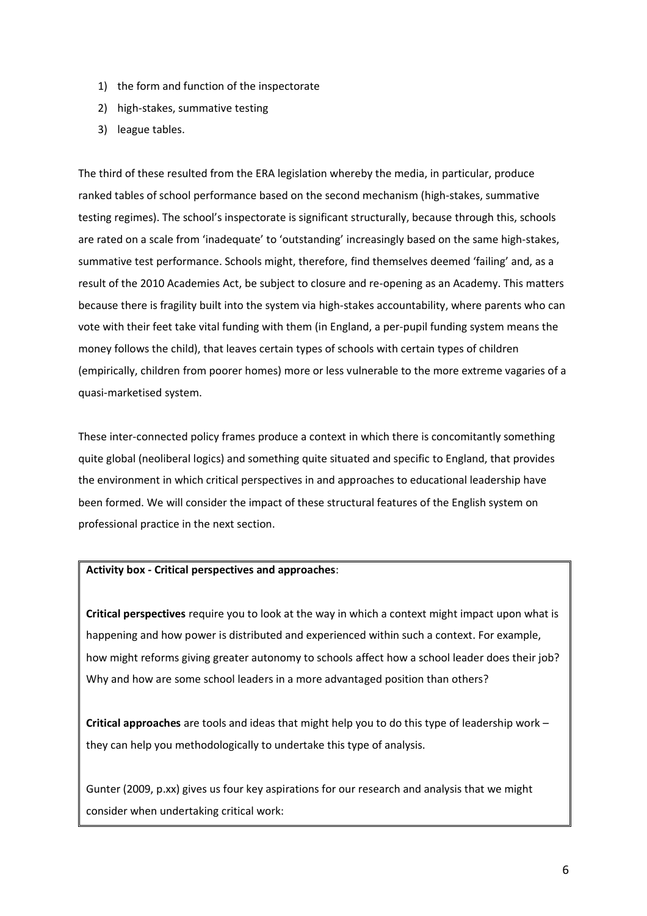- 1) the form and function of the inspectorate
- 2) high-stakes, summative testing
- 3) league tables.

The third of these resulted from the ERA legislation whereby the media, in particular, produce ranked tables of school performance based on the second mechanism (high-stakes, summative testing regimes). The school's inspectorate is significant structurally, because through this, schools are rated on a scale from 'inadequate' to 'outstanding' increasingly based on the same high-stakes, summative test performance. Schools might, therefore, find themselves deemed 'failing' and, as a result of the 2010 Academies Act, be subject to closure and re-opening as an Academy. This matters because there is fragility built into the system via high-stakes accountability, where parents who can vote with their feet take vital funding with them (in England, a per-pupil funding system means the money follows the child), that leaves certain types of schools with certain types of children (empirically, children from poorer homes) more or less vulnerable to the more extreme vagaries of a quasi-marketised system.

These inter-connected policy frames produce a context in which there is concomitantly something quite global (neoliberal logics) and something quite situated and specific to England, that provides the environment in which critical perspectives in and approaches to educational leadership have been formed. We will consider the impact of these structural features of the English system on professional practice in the next section.

## **Activity box - Critical perspectives and approaches**:

**Critical perspectives** require you to look at the way in which a context might impact upon what is happening and how power is distributed and experienced within such a context. For example, how might reforms giving greater autonomy to schools affect how a school leader does their job? Why and how are some school leaders in a more advantaged position than others?

**Critical approaches** are tools and ideas that might help you to do this type of leadership work – they can help you methodologically to undertake this type of analysis.

Gunter (2009, p.xx) gives us four key aspirations for our research and analysis that we might consider when undertaking critical work: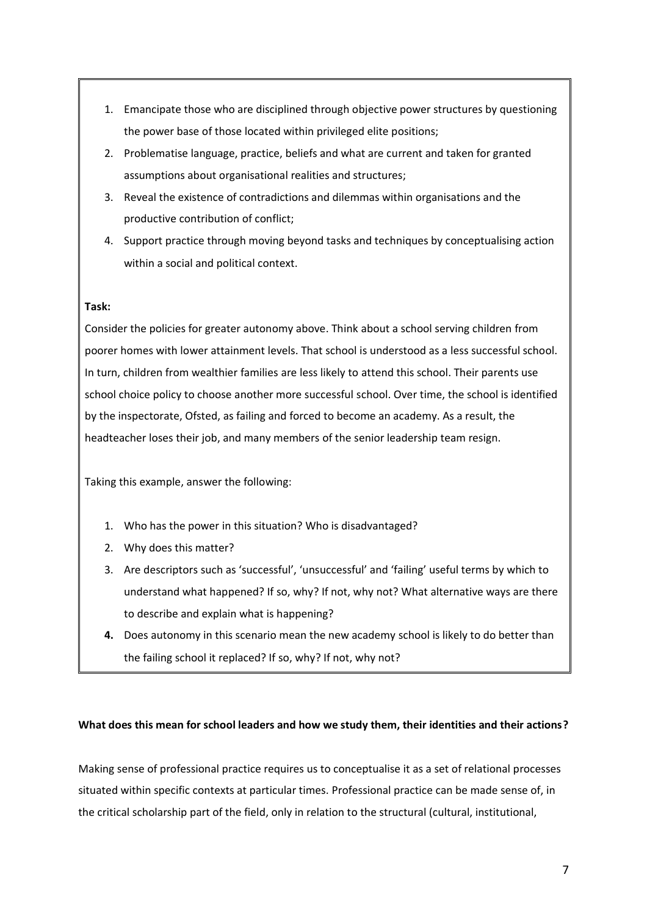- 1. Emancipate those who are disciplined through objective power structures by questioning the power base of those located within privileged elite positions;
- 2. Problematise language, practice, beliefs and what are current and taken for granted assumptions about organisational realities and structures;
- 3. Reveal the existence of contradictions and dilemmas within organisations and the productive contribution of conflict;
- 4. Support practice through moving beyond tasks and techniques by conceptualising action within a social and political context.

## **Task:**

Consider the policies for greater autonomy above. Think about a school serving children from poorer homes with lower attainment levels. That school is understood as a less successful school. In turn, children from wealthier families are less likely to attend this school. Their parents use school choice policy to choose another more successful school. Over time, the school is identified by the inspectorate, Ofsted, as failing and forced to become an academy. As a result, the headteacher loses their job, and many members of the senior leadership team resign.

Taking this example, answer the following:

- 1. Who has the power in this situation? Who is disadvantaged?
- 2. Why does this matter?
- 3. Are descriptors such as 'successful', 'unsuccessful' and 'failing' useful terms by which to understand what happened? If so, why? If not, why not? What alternative ways are there to describe and explain what is happening?
- **4.** Does autonomy in this scenario mean the new academy school is likely to do better than the failing school it replaced? If so, why? If not, why not?

## **What does this mean for school leaders and how we study them, their identities and their actions?**

Making sense of professional practice requires us to conceptualise it as a set of relational processes situated within specific contexts at particular times. Professional practice can be made sense of, in the critical scholarship part of the field, only in relation to the structural (cultural, institutional,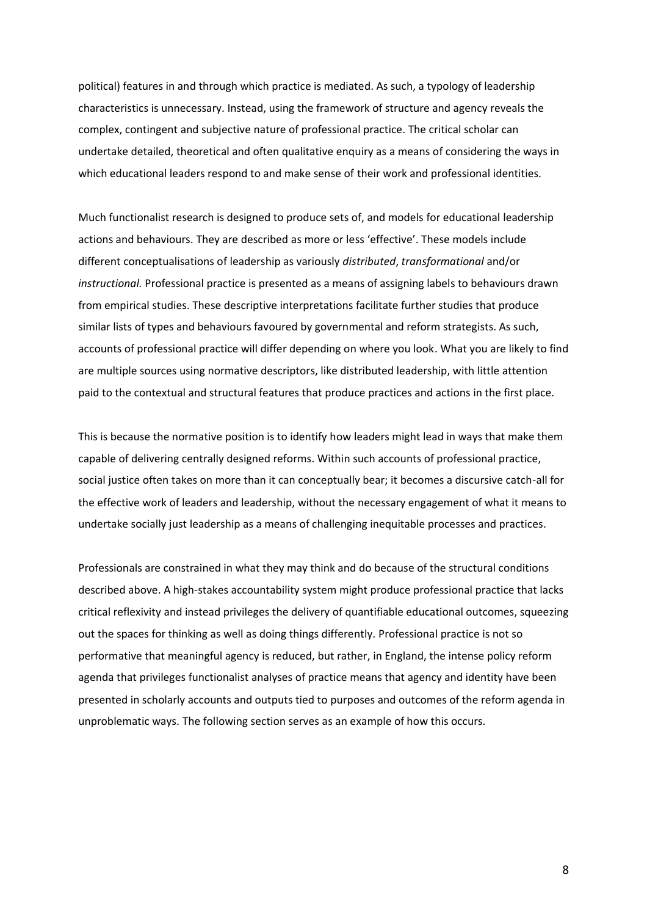political) features in and through which practice is mediated. As such, a typology of leadership characteristics is unnecessary. Instead, using the framework of structure and agency reveals the complex, contingent and subjective nature of professional practice. The critical scholar can undertake detailed, theoretical and often qualitative enquiry as a means of considering the ways in which educational leaders respond to and make sense of their work and professional identities.

Much functionalist research is designed to produce sets of, and models for educational leadership actions and behaviours. They are described as more or less 'effective'. These models include different conceptualisations of leadership as variously *distributed*, *transformational* and/or *instructional.* Professional practice is presented as a means of assigning labels to behaviours drawn from empirical studies. These descriptive interpretations facilitate further studies that produce similar lists of types and behaviours favoured by governmental and reform strategists. As such, accounts of professional practice will differ depending on where you look. What you are likely to find are multiple sources using normative descriptors, like distributed leadership, with little attention paid to the contextual and structural features that produce practices and actions in the first place.

This is because the normative position is to identify how leaders might lead in ways that make them capable of delivering centrally designed reforms. Within such accounts of professional practice, social justice often takes on more than it can conceptually bear; it becomes a discursive catch-all for the effective work of leaders and leadership, without the necessary engagement of what it means to undertake socially just leadership as a means of challenging inequitable processes and practices.

Professionals are constrained in what they may think and do because of the structural conditions described above. A high-stakes accountability system might produce professional practice that lacks critical reflexivity and instead privileges the delivery of quantifiable educational outcomes, squeezing out the spaces for thinking as well as doing things differently. Professional practice is not so performative that meaningful agency is reduced, but rather, in England, the intense policy reform agenda that privileges functionalist analyses of practice means that agency and identity have been presented in scholarly accounts and outputs tied to purposes and outcomes of the reform agenda in unproblematic ways. The following section serves as an example of how this occurs.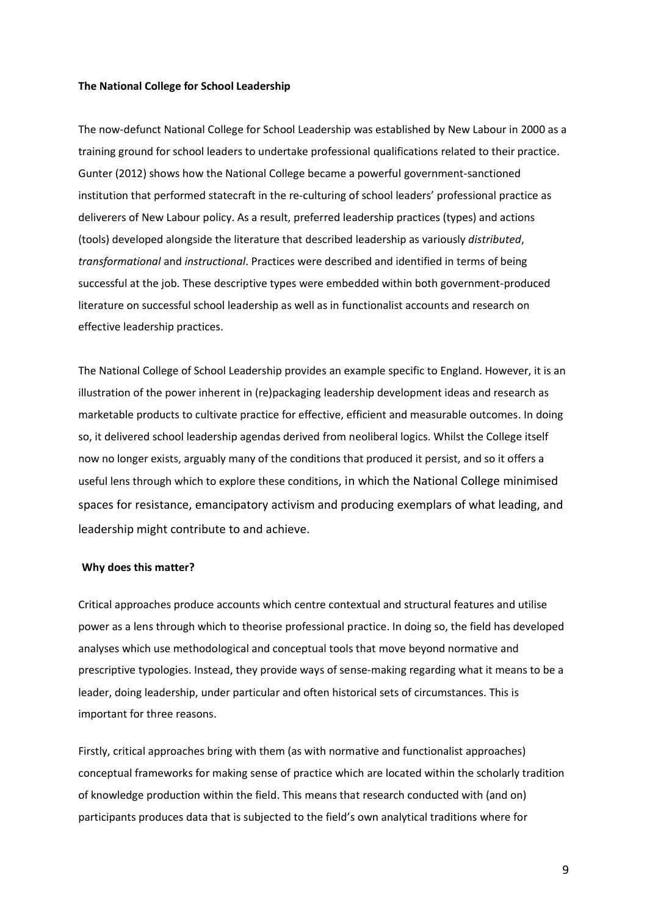#### **The National College for School Leadership**

The now-defunct National College for School Leadership was established by New Labour in 2000 as a training ground for school leaders to undertake professional qualifications related to their practice. Gunter (2012) shows how the National College became a powerful government-sanctioned institution that performed statecraft in the re-culturing of school leaders' professional practice as deliverers of New Labour policy. As a result, preferred leadership practices (types) and actions (tools) developed alongside the literature that described leadership as variously *distributed*, *transformational* and *instructional*. Practices were described and identified in terms of being successful at the job*.* These descriptive types were embedded within both government-produced literature on successful school leadership as well as in functionalist accounts and research on effective leadership practices.

The National College of School Leadership provides an example specific to England. However, it is an illustration of the power inherent in (re)packaging leadership development ideas and research as marketable products to cultivate practice for effective, efficient and measurable outcomes. In doing so, it delivered school leadership agendas derived from neoliberal logics. Whilst the College itself now no longer exists, arguably many of the conditions that produced it persist, and so it offers a useful lens through which to explore these conditions, in which the National College minimised spaces for resistance, emancipatory activism and producing exemplars of what leading, and leadership might contribute to and achieve.

#### **Why does this matter?**

Critical approaches produce accounts which centre contextual and structural features and utilise power as a lens through which to theorise professional practice. In doing so, the field has developed analyses which use methodological and conceptual tools that move beyond normative and prescriptive typologies. Instead, they provide ways of sense-making regarding what it means to be a leader, doing leadership, under particular and often historical sets of circumstances. This is important for three reasons.

Firstly, critical approaches bring with them (as with normative and functionalist approaches) conceptual frameworks for making sense of practice which are located within the scholarly tradition of knowledge production within the field. This means that research conducted with (and on) participants produces data that is subjected to the field's own analytical traditions where for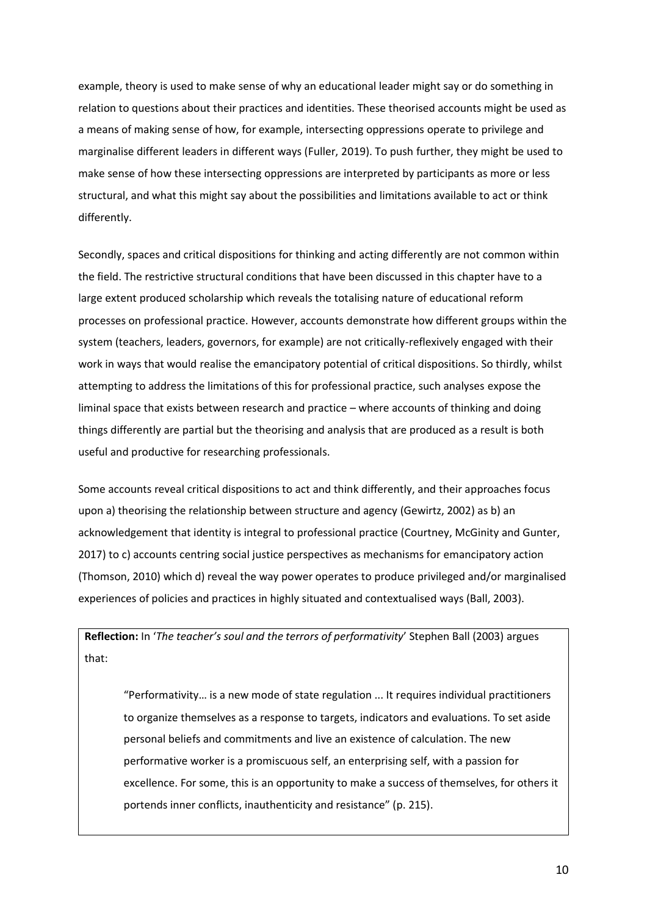example, theory is used to make sense of why an educational leader might say or do something in relation to questions about their practices and identities. These theorised accounts might be used as a means of making sense of how, for example, intersecting oppressions operate to privilege and marginalise different leaders in different ways (Fuller, 2019). To push further, they might be used to make sense of how these intersecting oppressions are interpreted by participants as more or less structural, and what this might say about the possibilities and limitations available to act or think differently.

Secondly, spaces and critical dispositions for thinking and acting differently are not common within the field. The restrictive structural conditions that have been discussed in this chapter have to a large extent produced scholarship which reveals the totalising nature of educational reform processes on professional practice. However, accounts demonstrate how different groups within the system (teachers, leaders, governors, for example) are not critically-reflexively engaged with their work in ways that would realise the emancipatory potential of critical dispositions. So thirdly, whilst attempting to address the limitations of this for professional practice, such analyses expose the liminal space that exists between research and practice – where accounts of thinking and doing things differently are partial but the theorising and analysis that are produced as a result is both useful and productive for researching professionals.

Some accounts reveal critical dispositions to act and think differently, and their approaches focus upon a) theorising the relationship between structure and agency (Gewirtz, 2002) as b) an acknowledgement that identity is integral to professional practice (Courtney, McGinity and Gunter, 2017) to c) accounts centring social justice perspectives as mechanisms for emancipatory action (Thomson, 2010) which d) reveal the way power operates to produce privileged and/or marginalised experiences of policies and practices in highly situated and contextualised ways (Ball, 2003).

**Reflection:** In '*The teacher's soul and the terrors of performativity*' Stephen Ball (2003) argues that:

"Performativity… is a new mode of state regulation ... It requires individual practitioners to organize themselves as a response to targets, indicators and evaluations. To set aside personal beliefs and commitments and live an existence of calculation. The new performative worker is a promiscuous self, an enterprising self, with a passion for excellence. For some, this is an opportunity to make a success of themselves, for others it portends inner conflicts, inauthenticity and resistance" (p. 215).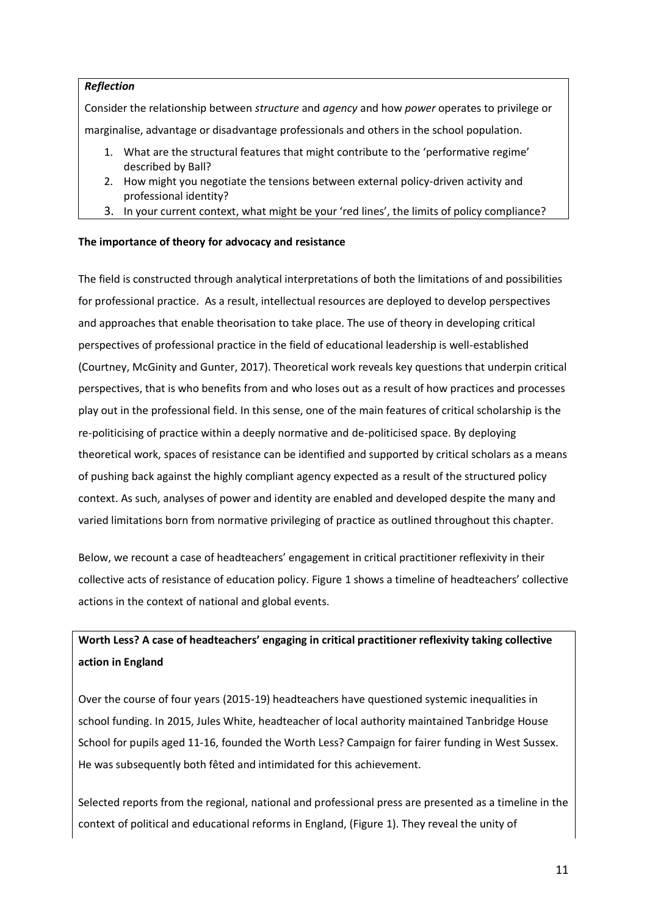## *Reflection*

Consider the relationship between *structure* and *agency* and how *power* operates to privilege or marginalise, advantage or disadvantage professionals and others in the school population.

- 1. What are the structural features that might contribute to the 'performative regime' described by Ball?
- 2. How might you negotiate the tensions between external policy-driven activity and professional identity?
- 3. In your current context, what might be your 'red lines', the limits of policy compliance?

## **The importance of theory for advocacy and resistance**

The field is constructed through analytical interpretations of both the limitations of and possibilities for professional practice. As a result, intellectual resources are deployed to develop perspectives and approaches that enable theorisation to take place. The use of theory in developing critical perspectives of professional practice in the field of educational leadership is well-established (Courtney, McGinity and Gunter, 2017). Theoretical work reveals key questions that underpin critical perspectives, that is who benefits from and who loses out as a result of how practices and processes play out in the professional field. In this sense, one of the main features of critical scholarship is the re-politicising of practice within a deeply normative and de-politicised space. By deploying theoretical work, spaces of resistance can be identified and supported by critical scholars as a means of pushing back against the highly compliant agency expected as a result of the structured policy context. As such, analyses of power and identity are enabled and developed despite the many and varied limitations born from normative privileging of practice as outlined throughout this chapter.

Below, we recount a case of headteachers' engagement in critical practitioner reflexivity in their collective acts of resistance of education policy. Figure 1 shows a timeline of headteachers' collective actions in the context of national and global events.

# **Worth Less? A case of headteachers' engaging in critical practitioner reflexivity taking collective action in England**

Over the course of four years (2015-19) headteachers have questioned systemic inequalities in school funding. In 2015, Jules White, headteacher of local authority maintained Tanbridge House School for pupils aged 11-16, founded the Worth Less? Campaign for fairer funding in West Sussex. He was subsequently both fêted and intimidated for this achievement.

Selected reports from the regional, national and professional press are presented as a timeline in the context of political and educational reforms in England, (Figure 1). They reveal the unity of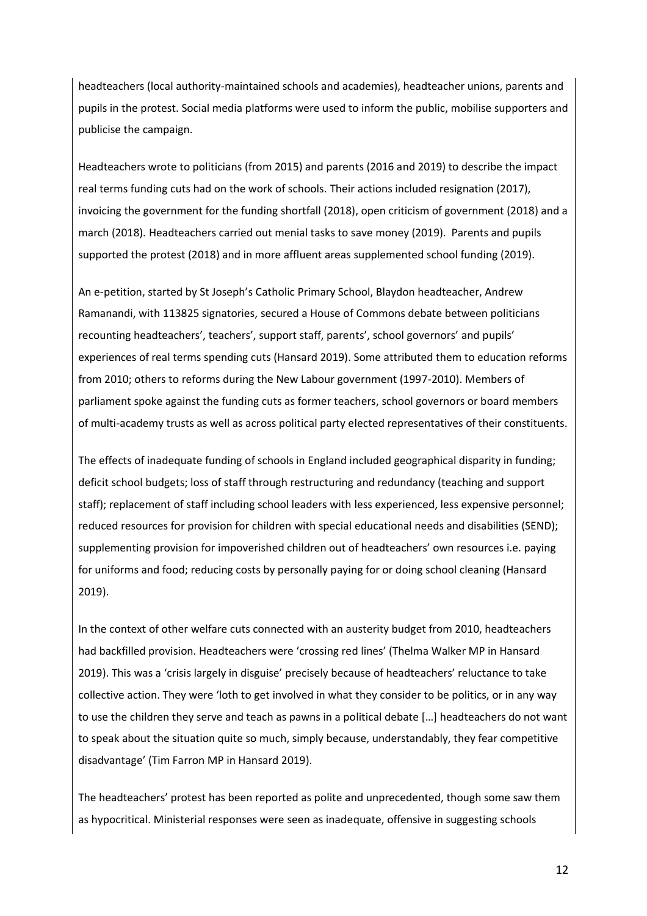headteachers (local authority-maintained schools and academies), headteacher unions, parents and pupils in the protest. Social media platforms were used to inform the public, mobilise supporters and publicise the campaign.

Headteachers wrote to politicians (from 2015) and parents (2016 and 2019) to describe the impact real terms funding cuts had on the work of schools. Their actions included resignation (2017), invoicing the government for the funding shortfall (2018), open criticism of government (2018) and a march (2018). Headteachers carried out menial tasks to save money (2019). Parents and pupils supported the protest (2018) and in more affluent areas supplemented school funding (2019).

An e-petition, started by St Joseph's Catholic Primary School, Blaydon headteacher, Andrew Ramanandi, with 113825 signatories, secured a House of Commons debate between politicians recounting headteachers', teachers', support staff, parents', school governors' and pupils' experiences of real terms spending cuts (Hansard 2019). Some attributed them to education reforms from 2010; others to reforms during the New Labour government (1997-2010). Members of parliament spoke against the funding cuts as former teachers, school governors or board members of multi-academy trusts as well as across political party elected representatives of their constituents.

The effects of inadequate funding of schools in England included geographical disparity in funding; deficit school budgets; loss of staff through restructuring and redundancy (teaching and support staff); replacement of staff including school leaders with less experienced, less expensive personnel; reduced resources for provision for children with special educational needs and disabilities (SEND); supplementing provision for impoverished children out of headteachers' own resources i.e. paying for uniforms and food; reducing costs by personally paying for or doing school cleaning (Hansard 2019).

In the context of other welfare cuts connected with an austerity budget from 2010, headteachers had backfilled provision. Headteachers were 'crossing red lines' (Thelma Walker MP in Hansard 2019). This was a 'crisis largely in disguise' precisely because of headteachers' reluctance to take collective action. They were 'loth to get involved in what they consider to be politics, or in any way to use the children they serve and teach as pawns in a political debate […] headteachers do not want to speak about the situation quite so much, simply because, understandably, they fear competitive disadvantage' (Tim Farron MP in Hansard 2019).

The headteachers' protest has been reported as polite and unprecedented, though some saw them as hypocritical. Ministerial responses were seen as inadequate, offensive in suggesting schools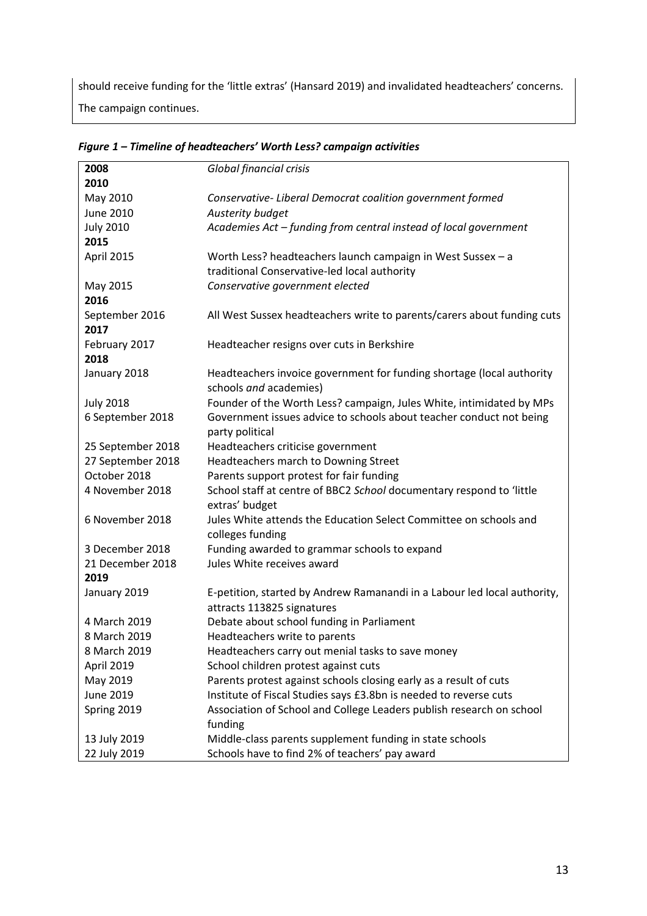should receive funding for the 'little extras' (Hansard 2019) and invalidated headteachers' concerns. The campaign continues.

| 2008              | Global financial crisis                                                  |
|-------------------|--------------------------------------------------------------------------|
| 2010              |                                                                          |
| May 2010          | Conservative-Liberal Democrat coalition government formed                |
| June 2010         | Austerity budget                                                         |
| <b>July 2010</b>  | Academies Act - funding from central instead of local government         |
| 2015              |                                                                          |
| April 2015        | Worth Less? headteachers launch campaign in West Sussex - a              |
|                   | traditional Conservative-led local authority                             |
| May 2015          | Conservative government elected                                          |
| 2016              |                                                                          |
| September 2016    | All West Sussex headteachers write to parents/carers about funding cuts  |
| 2017              |                                                                          |
| February 2017     | Headteacher resigns over cuts in Berkshire                               |
| 2018              |                                                                          |
| January 2018      | Headteachers invoice government for funding shortage (local authority    |
|                   | schools and academies)                                                   |
| <b>July 2018</b>  | Founder of the Worth Less? campaign, Jules White, intimidated by MPs     |
| 6 September 2018  | Government issues advice to schools about teacher conduct not being      |
|                   | party political                                                          |
| 25 September 2018 | Headteachers criticise government                                        |
| 27 September 2018 | Headteachers march to Downing Street                                     |
| October 2018      | Parents support protest for fair funding                                 |
| 4 November 2018   | School staff at centre of BBC2 School documentary respond to 'little     |
|                   | extras' budget                                                           |
| 6 November 2018   | Jules White attends the Education Select Committee on schools and        |
|                   | colleges funding                                                         |
| 3 December 2018   | Funding awarded to grammar schools to expand                             |
| 21 December 2018  | Jules White receives award                                               |
| 2019              |                                                                          |
| January 2019      | E-petition, started by Andrew Ramanandi in a Labour led local authority, |
|                   | attracts 113825 signatures                                               |
| 4 March 2019      | Debate about school funding in Parliament                                |
| 8 March 2019      | Headteachers write to parents                                            |
| 8 March 2019      | Headteachers carry out menial tasks to save money                        |
| April 2019        | School children protest against cuts                                     |
| May 2019          | Parents protest against schools closing early as a result of cuts        |
| June 2019         | Institute of Fiscal Studies says £3.8bn is needed to reverse cuts        |
| Spring 2019       | Association of School and College Leaders publish research on school     |
|                   | funding                                                                  |
| 13 July 2019      | Middle-class parents supplement funding in state schools                 |
| 22 July 2019      | Schools have to find 2% of teachers' pay award                           |

## *Figure 1 – Timeline of headteachers' Worth Less? campaign activities*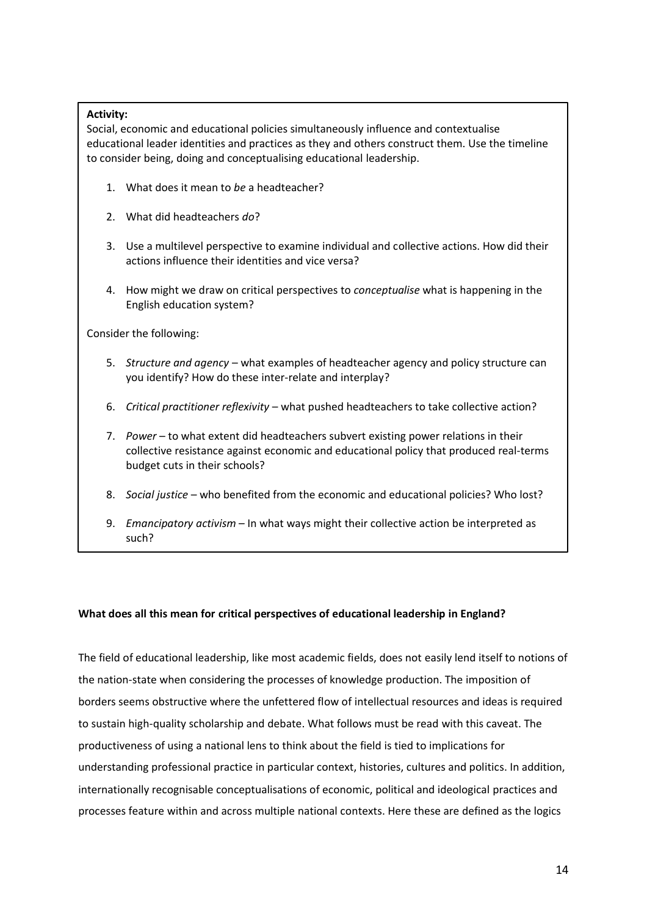## **Activity:**

Social, economic and educational policies simultaneously influence and contextualise educational leader identities and practices as they and others construct them. Use the timeline to consider being, doing and conceptualising educational leadership.

- 1. What does it mean to *be* a headteacher?
- 2. What did headteachers *do*?
- 3. Use a multilevel perspective to examine individual and collective actions. How did their actions influence their identities and vice versa?
- 4. How might we draw on critical perspectives to *conceptualise* what is happening in the English education system?

Consider the following:

- 5. *Structure and agency* what examples of headteacher agency and policy structure can you identify? How do these inter-relate and interplay?
- 6. *Critical practitioner reflexivity* what pushed headteachers to take collective action?
- 7. *Power* to what extent did headteachers subvert existing power relations in their collective resistance against economic and educational policy that produced real-terms budget cuts in their schools?
- 8. *Social justice* who benefited from the economic and educational policies? Who lost?
- 9. *Emancipatory activism* In what ways might their collective action be interpreted as such?

## **What does all this mean for critical perspectives of educational leadership in England?**

The field of educational leadership, like most academic fields, does not easily lend itself to notions of the nation-state when considering the processes of knowledge production. The imposition of borders seems obstructive where the unfettered flow of intellectual resources and ideas is required to sustain high-quality scholarship and debate. What follows must be read with this caveat. The productiveness of using a national lens to think about the field is tied to implications for understanding professional practice in particular context, histories, cultures and politics. In addition, internationally recognisable conceptualisations of economic, political and ideological practices and processes feature within and across multiple national contexts. Here these are defined as the logics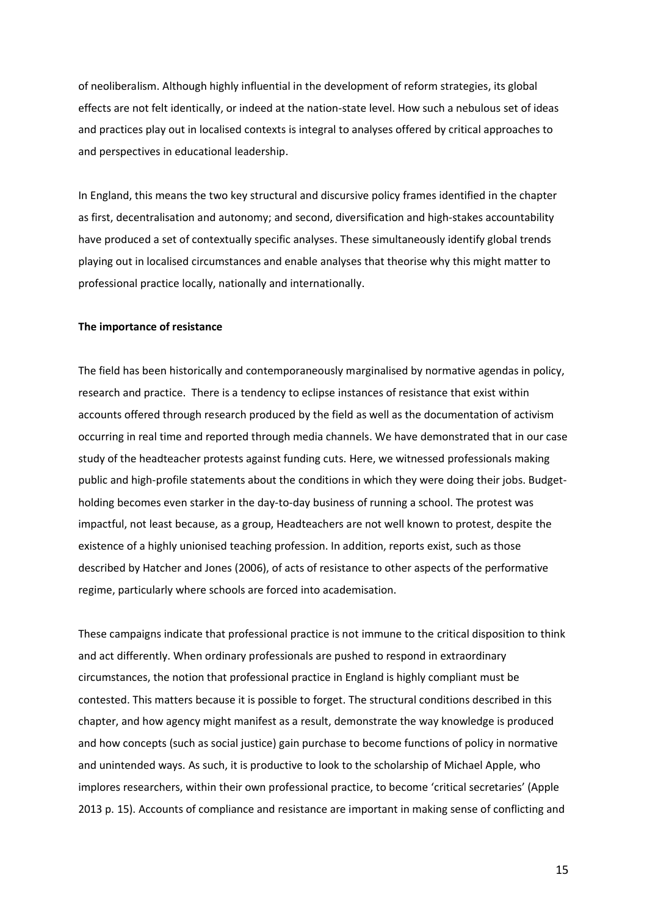of neoliberalism. Although highly influential in the development of reform strategies, its global effects are not felt identically, or indeed at the nation-state level. How such a nebulous set of ideas and practices play out in localised contexts is integral to analyses offered by critical approaches to and perspectives in educational leadership.

In England, this means the two key structural and discursive policy frames identified in the chapter as first, decentralisation and autonomy; and second, diversification and high-stakes accountability have produced a set of contextually specific analyses. These simultaneously identify global trends playing out in localised circumstances and enable analyses that theorise why this might matter to professional practice locally, nationally and internationally.

#### **The importance of resistance**

The field has been historically and contemporaneously marginalised by normative agendas in policy, research and practice. There is a tendency to eclipse instances of resistance that exist within accounts offered through research produced by the field as well as the documentation of activism occurring in real time and reported through media channels. We have demonstrated that in our case study of the headteacher protests against funding cuts. Here, we witnessed professionals making public and high-profile statements about the conditions in which they were doing their jobs. Budgetholding becomes even starker in the day-to-day business of running a school. The protest was impactful, not least because, as a group, Headteachers are not well known to protest, despite the existence of a highly unionised teaching profession. In addition, reports exist, such as those described by Hatcher and Jones (2006), of acts of resistance to other aspects of the performative regime, particularly where schools are forced into academisation.

These campaigns indicate that professional practice is not immune to the critical disposition to think and act differently. When ordinary professionals are pushed to respond in extraordinary circumstances, the notion that professional practice in England is highly compliant must be contested. This matters because it is possible to forget. The structural conditions described in this chapter, and how agency might manifest as a result, demonstrate the way knowledge is produced and how concepts (such as social justice) gain purchase to become functions of policy in normative and unintended ways. As such, it is productive to look to the scholarship of Michael Apple, who implores researchers, within their own professional practice, to become 'critical secretaries' (Apple 2013 p. 15). Accounts of compliance and resistance are important in making sense of conflicting and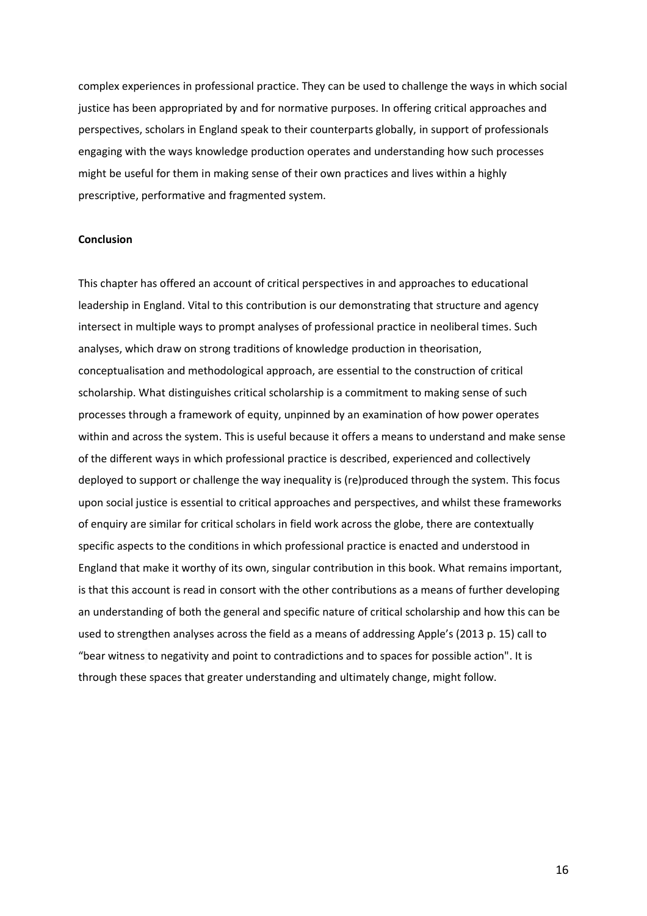complex experiences in professional practice. They can be used to challenge the ways in which social justice has been appropriated by and for normative purposes. In offering critical approaches and perspectives, scholars in England speak to their counterparts globally, in support of professionals engaging with the ways knowledge production operates and understanding how such processes might be useful for them in making sense of their own practices and lives within a highly prescriptive, performative and fragmented system.

#### **Conclusion**

This chapter has offered an account of critical perspectives in and approaches to educational leadership in England. Vital to this contribution is our demonstrating that structure and agency intersect in multiple ways to prompt analyses of professional practice in neoliberal times. Such analyses, which draw on strong traditions of knowledge production in theorisation, conceptualisation and methodological approach, are essential to the construction of critical scholarship. What distinguishes critical scholarship is a commitment to making sense of such processes through a framework of equity, unpinned by an examination of how power operates within and across the system. This is useful because it offers a means to understand and make sense of the different ways in which professional practice is described, experienced and collectively deployed to support or challenge the way inequality is (re)produced through the system. This focus upon social justice is essential to critical approaches and perspectives, and whilst these frameworks of enquiry are similar for critical scholars in field work across the globe, there are contextually specific aspects to the conditions in which professional practice is enacted and understood in England that make it worthy of its own, singular contribution in this book. What remains important, is that this account is read in consort with the other contributions as a means of further developing an understanding of both the general and specific nature of critical scholarship and how this can be used to strengthen analyses across the field as a means of addressing Apple's (2013 p. 15) call to "bear witness to negativity and point to contradictions and to spaces for possible action". It is through these spaces that greater understanding and ultimately change, might follow.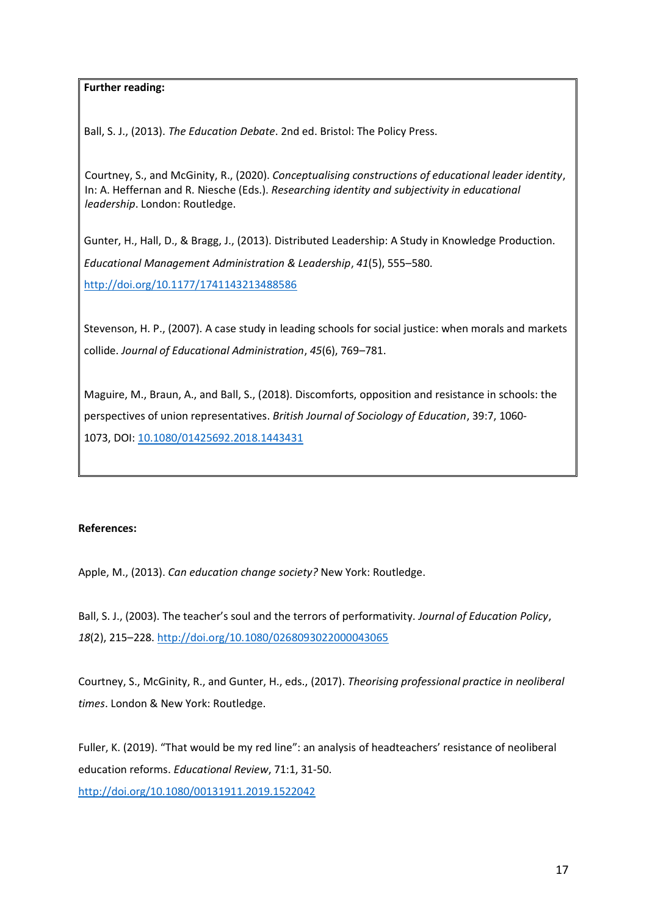## **Further reading:**

Ball, S. J., (2013). *The Education Debate*. 2nd ed. Bristol: The Policy Press.

Courtney, S., and McGinity, R., (2020). *Conceptualising constructions of educational leader identity*, In: A. Heffernan and R. Niesche (Eds.). *Researching identity and subjectivity in educational leadership*. London: Routledge.

Gunter, H., Hall, D., & Bragg, J., (2013). Distributed Leadership: A Study in Knowledge Production. *Educational Management Administration & Leadership*, *41*(5), 555–580. <http://doi.org/10.1177/1741143213488586>

Stevenson, H. P., (2007). A case study in leading schools for social justice: when morals and markets collide. *Journal of Educational Administration*, *45*(6), 769–781.

Maguire, M., Braun, A., and Ball, S., (2018). Discomforts, opposition and resistance in schools: the perspectives of union representatives. *British Journal of Sociology of Education*, 39:7, 1060- 1073, DOI: [10.1080/01425692.2018.1443431](https://doi.org/10.1080/01425692.2018.1443431)

## **References:**

Apple, M., (2013). *Can education change society?* New York: Routledge.

Ball, S. J., (2003). The teacher's soul and the terrors of performativity. *Journal of Education Policy*, *18*(2), 215–228.<http://doi.org/10.1080/0268093022000043065>

Courtney, S., McGinity, R., and Gunter, H., eds., (2017). *Theorising professional practice in neoliberal times*. London & New York: Routledge.

Fuller, K. (2019). "That would be my red line": an analysis of headteachers' resistance of neoliberal education reforms. *Educational Review*, 71:1, 31-50.

<http://doi.org/10.1080/00131911.2019.1522042>